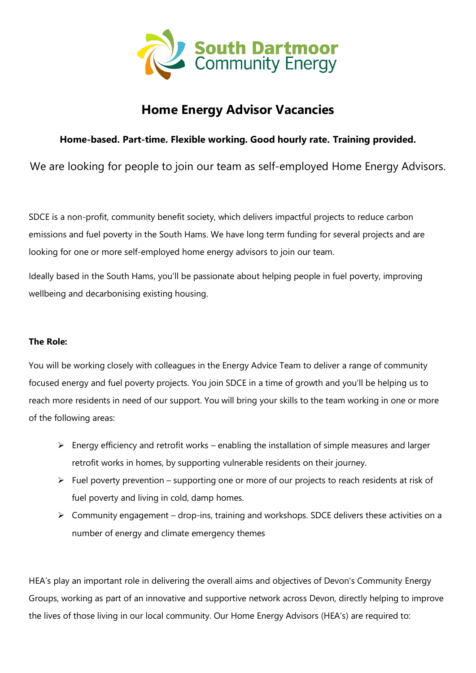

# **Home Energy Advisor Vacancies**

## **Home-based. Part-time. Flexible working. Good hourly rate. Training provided.**

We are looking for people to join our team as self-employed Home Energy Advisors.

SDCE is a non-profit, community benefit society, which delivers impactful projects to reduce carbon emissions and fuel poverty in the South Hams. We have long term funding for several projects and are looking for one or more self-employed home energy advisors to join our team.

Ideally based in the South Hams, you'll be passionate about helping people in fuel poverty, improving wellbeing and decarbonising existing housing.

### **The Role:**

You will be working closely with colleagues in the Energy Advice Team to deliver a range of community focused energy and fuel poverty projects. You join SDCE in a time of growth and you'll be helping us to reach more residents in need of our support. You will bring your skills to the team working in one or more of the following areas:

- $\triangleright$  Energy efficiency and retrofit works enabling the installation of simple measures and larger retrofit works in homes, by supporting vulnerable residents on their journey.
- $\triangleright$  Fuel poverty prevention supporting one or more of our projects to reach residents at risk of fuel poverty and living in cold, damp homes.
- $\triangleright$  Community engagement drop-ins, training and workshops. SDCE delivers these activities on a number of energy and climate emergency themes

HEA's play an important role in delivering the overall aims and objectives of Devon's Community Energy Groups, working as part of an innovative and supportive network across Devon, directly helping to improve the lives of those living in our local community. Our Home Energy Advisors (HEA's) are required to: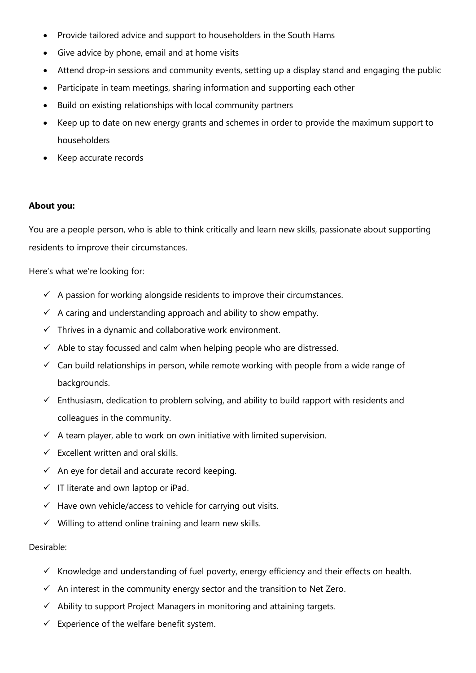- Provide tailored advice and support to householders in the South Hams
- Give advice by phone, email and at home visits
- Attend drop-in sessions and community events, setting up a display stand and engaging the public
- Participate in team meetings, sharing information and supporting each other
- Build on existing relationships with local community partners
- Keep up to date on new energy grants and schemes in order to provide the maximum support to householders
- Keep accurate records

#### **About you:**

You are a people person, who is able to think critically and learn new skills, passionate about supporting residents to improve their circumstances.

Here's what we're looking for:

- $\checkmark$  A passion for working alongside residents to improve their circumstances.
- $\checkmark$  A caring and understanding approach and ability to show empathy.
- $\checkmark$  Thrives in a dynamic and collaborative work environment.
- $\checkmark$  Able to stay focussed and calm when helping people who are distressed.
- $\checkmark$  Can build relationships in person, while remote working with people from a wide range of backgrounds.
- $\checkmark$  Enthusiasm, dedication to problem solving, and ability to build rapport with residents and colleagues in the community.
- $\checkmark$  A team player, able to work on own initiative with limited supervision.
- $\checkmark$  Excellent written and oral skills.
- $\checkmark$  An eye for detail and accurate record keeping.
- $\checkmark$  IT literate and own laptop or iPad.
- ✓ Have own vehicle/access to vehicle for carrying out visits.
- $\checkmark$  Willing to attend online training and learn new skills.

#### Desirable:

- ✓ Knowledge and understanding of fuel poverty, energy efficiency and their effects on health.
- $\checkmark$  An interest in the community energy sector and the transition to Net Zero.
- $\checkmark$  Ability to support Project Managers in monitoring and attaining targets.
- $\checkmark$  Experience of the welfare benefit system.